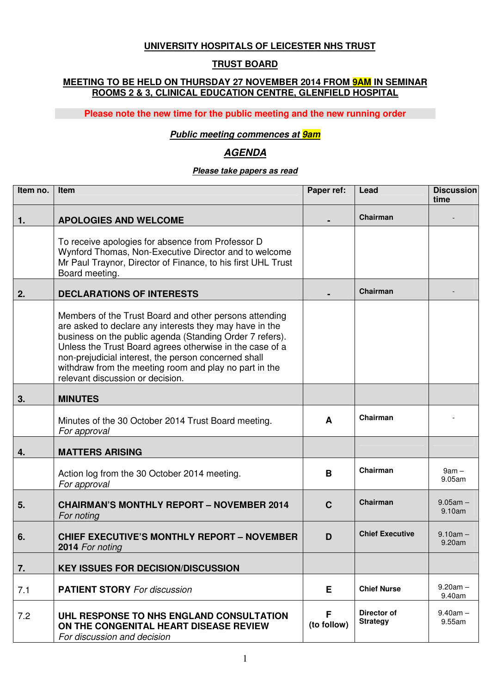# **UNIVERSITY HOSPITALS OF LEICESTER NHS TRUST**

## **TRUST BOARD**

### **MEETING TO BE HELD ON THURSDAY 27 NOVEMBER 2014 FROM 9AM IN SEMINAR ROOMS 2 & 3, CLINICAL EDUCATION CENTRE, GLENFIELD HOSPITAL**

**Please note the new time for the public meeting and the new running order** 

#### **Public meeting commences at 9am**

# **AGENDA**

### **Please take papers as read**

| Item no. | Item                                                                                                                                                                                                                                                                                                                                                                                            | Paper ref:       | Lead                           | <b>Discussion</b><br>time |
|----------|-------------------------------------------------------------------------------------------------------------------------------------------------------------------------------------------------------------------------------------------------------------------------------------------------------------------------------------------------------------------------------------------------|------------------|--------------------------------|---------------------------|
| 1.       | <b>APOLOGIES AND WELCOME</b>                                                                                                                                                                                                                                                                                                                                                                    |                  | Chairman                       |                           |
|          | To receive apologies for absence from Professor D<br>Wynford Thomas, Non-Executive Director and to welcome<br>Mr Paul Traynor, Director of Finance, to his first UHL Trust<br>Board meeting.                                                                                                                                                                                                    |                  |                                |                           |
| 2.       | <b>DECLARATIONS OF INTERESTS</b>                                                                                                                                                                                                                                                                                                                                                                |                  | Chairman                       |                           |
|          | Members of the Trust Board and other persons attending<br>are asked to declare any interests they may have in the<br>business on the public agenda (Standing Order 7 refers).<br>Unless the Trust Board agrees otherwise in the case of a<br>non-prejudicial interest, the person concerned shall<br>withdraw from the meeting room and play no part in the<br>relevant discussion or decision. |                  |                                |                           |
| 3.       | <b>MINUTES</b>                                                                                                                                                                                                                                                                                                                                                                                  |                  |                                |                           |
|          | Minutes of the 30 October 2014 Trust Board meeting.<br>For approval                                                                                                                                                                                                                                                                                                                             | A                | Chairman                       |                           |
| 4.       | <b>MATTERS ARISING</b>                                                                                                                                                                                                                                                                                                                                                                          |                  |                                |                           |
|          | Action log from the 30 October 2014 meeting.<br>For approval                                                                                                                                                                                                                                                                                                                                    | B                | Chairman                       | $9am -$<br>9.05am         |
| 5.       | <b>CHAIRMAN'S MONTHLY REPORT - NOVEMBER 2014</b><br>For noting                                                                                                                                                                                                                                                                                                                                  | $\mathbf C$      | Chairman                       | $9.05$ am $-$<br>9.10am   |
| 6.       | <b>CHIEF EXECUTIVE'S MONTHLY REPORT - NOVEMBER</b><br>2014 For noting                                                                                                                                                                                                                                                                                                                           | D                | <b>Chief Executive</b>         | $9.10am -$<br>9.20am      |
| 7.       | <b>KEY ISSUES FOR DECISION/DISCUSSION</b>                                                                                                                                                                                                                                                                                                                                                       |                  |                                |                           |
| 7.1      | <b>PATIENT STORY</b> For discussion                                                                                                                                                                                                                                                                                                                                                             | E                | <b>Chief Nurse</b>             | $9.20am -$<br>9.40am      |
| 7.2      | UHL RESPONSE TO NHS ENGLAND CONSULTATION<br>ON THE CONGENITAL HEART DISEASE REVIEW<br>For discussion and decision                                                                                                                                                                                                                                                                               | F<br>(to follow) | Director of<br><b>Strategy</b> | $9.40am -$<br>9.55am      |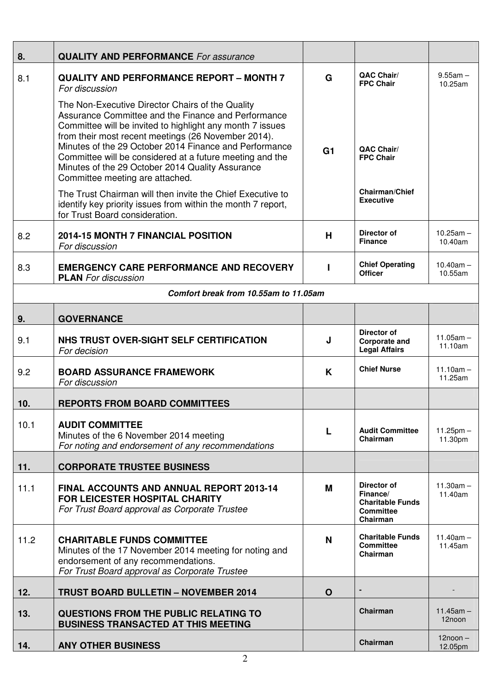| 8.   | <b>QUALITY AND PERFORMANCE</b> For assurance                                                                                                                                                                                                                                                                                                                                                                                             |                |                                                                                    |                           |
|------|------------------------------------------------------------------------------------------------------------------------------------------------------------------------------------------------------------------------------------------------------------------------------------------------------------------------------------------------------------------------------------------------------------------------------------------|----------------|------------------------------------------------------------------------------------|---------------------------|
| 8.1  | <b>QUALITY AND PERFORMANCE REPORT - MONTH 7</b><br>For discussion                                                                                                                                                                                                                                                                                                                                                                        | G              | QAC Chair/<br><b>FPC Chair</b>                                                     | $9.55am -$<br>10.25am     |
|      | The Non-Executive Director Chairs of the Quality<br>Assurance Committee and the Finance and Performance<br>Committee will be invited to highlight any month 7 issues<br>from their most recent meetings (26 November 2014).<br>Minutes of the 29 October 2014 Finance and Performance<br>Committee will be considered at a future meeting and the<br>Minutes of the 29 October 2014 Quality Assurance<br>Committee meeting are attached. | G <sub>1</sub> | QAC Chair/<br><b>FPC Chair</b>                                                     |                           |
|      | The Trust Chairman will then invite the Chief Executive to<br>identify key priority issues from within the month 7 report,<br>for Trust Board consideration.                                                                                                                                                                                                                                                                             |                | <b>Chairman/Chief</b><br><b>Executive</b>                                          |                           |
| 8.2  | 2014-15 MONTH 7 FINANCIAL POSITION<br>For discussion                                                                                                                                                                                                                                                                                                                                                                                     | н              | Director of<br><b>Finance</b>                                                      | $10.25am -$<br>10.40am    |
| 8.3  | <b>EMERGENCY CARE PERFORMANCE AND RECOVERY</b><br><b>PLAN</b> For discussion                                                                                                                                                                                                                                                                                                                                                             |                | <b>Chief Operating</b><br><b>Officer</b>                                           | $10.40am -$<br>10.55am    |
|      | Comfort break from 10.55am to 11.05am                                                                                                                                                                                                                                                                                                                                                                                                    |                |                                                                                    |                           |
| 9.   | <b>GOVERNANCE</b>                                                                                                                                                                                                                                                                                                                                                                                                                        |                |                                                                                    |                           |
| 9.1  | NHS TRUST OVER-SIGHT SELF CERTIFICATION<br>For decision                                                                                                                                                                                                                                                                                                                                                                                  | J              | Director of<br><b>Corporate and</b><br><b>Legal Affairs</b>                        | $11.05$ am $-$<br>11.10am |
| 9.2  | <b>BOARD ASSURANCE FRAMEWORK</b><br>For discussion                                                                                                                                                                                                                                                                                                                                                                                       | K              | <b>Chief Nurse</b>                                                                 | $11.10am -$<br>11.25am    |
| 10.  | <b>REPORTS FROM BOARD COMMITTEES</b>                                                                                                                                                                                                                                                                                                                                                                                                     |                |                                                                                    |                           |
| 10.1 | <b>AUDIT COMMITTEE</b><br>Minutes of the 6 November 2014 meeting<br>For noting and endorsement of any recommendations                                                                                                                                                                                                                                                                                                                    | L              | <b>Audit Committee</b><br>Chairman                                                 | $11.25$ pm $-$<br>11.30pm |
| 11.  | <b>CORPORATE TRUSTEE BUSINESS</b>                                                                                                                                                                                                                                                                                                                                                                                                        |                |                                                                                    |                           |
| 11.1 | <b>FINAL ACCOUNTS AND ANNUAL REPORT 2013-14</b><br><b>FOR LEICESTER HOSPITAL CHARITY</b><br>For Trust Board approval as Corporate Trustee                                                                                                                                                                                                                                                                                                | M              | Director of<br>Finance/<br><b>Charitable Funds</b><br><b>Committee</b><br>Chairman | $11.30am -$<br>11.40am    |
| 11.2 | <b>CHARITABLE FUNDS COMMITTEE</b><br>Minutes of the 17 November 2014 meeting for noting and<br>endorsement of any recommendations.<br>For Trust Board approval as Corporate Trustee                                                                                                                                                                                                                                                      | N              | <b>Charitable Funds</b><br>Committee<br>Chairman                                   | $11.40am -$<br>11.45am    |
| 12.  | <b>TRUST BOARD BULLETIN - NOVEMBER 2014</b>                                                                                                                                                                                                                                                                                                                                                                                              | $\mathbf O$    |                                                                                    |                           |
| 13.  | <b>QUESTIONS FROM THE PUBLIC RELATING TO</b><br><b>BUSINESS TRANSACTED AT THIS MEETING</b>                                                                                                                                                                                                                                                                                                                                               |                | Chairman                                                                           | $11.45$ am $-$<br>12noon  |
| 14.  | <b>ANY OTHER BUSINESS</b>                                                                                                                                                                                                                                                                                                                                                                                                                |                | Chairman                                                                           | $12noon -$<br>12.05pm     |